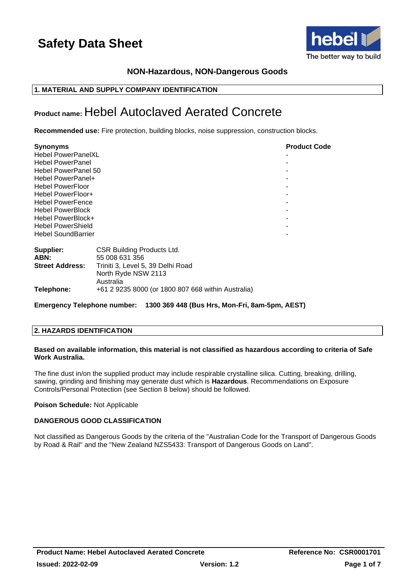

## **NON-Hazardous, NON-Dangerous Goods**

## **1. MATERIAL AND SUPPLY COMPANY IDENTIFICATION**

## **Product name:** Hebel Autoclaved Aerated Concrete

**Recommended use:** Fire protection, building blocks, noise suppression, construction blocks.

| <b>Synonyms</b>           |                                                     | <b>Product Code</b> |
|---------------------------|-----------------------------------------------------|---------------------|
| <b>Hebel PowerPanelXL</b> |                                                     |                     |
| <b>Hebel PowerPanel</b>   |                                                     |                     |
| Hebel PowerPanel 50       |                                                     |                     |
| Hebel PowerPanel+         |                                                     |                     |
| <b>Hebel PowerFloor</b>   |                                                     |                     |
| <b>Hebel PowerFloor+</b>  |                                                     |                     |
| <b>Hebel PowerFence</b>   |                                                     |                     |
| <b>Hebel PowerBlock</b>   |                                                     |                     |
| Hebel PowerBlock+         |                                                     |                     |
| <b>Hebel PowerShield</b>  |                                                     |                     |
| <b>Hebel SoundBarrier</b> |                                                     |                     |
| Supplier:<br>ABN:         | <b>CSR Building Products Ltd.</b><br>55 008 631 356 |                     |
| <b>Street Address:</b>    | Triniti 3, Level 5, 39 Delhi Road                   |                     |
|                           | North Ryde NSW 2113<br>Australia                    |                     |
| Telephone:                | +61 2 9235 8000 (or 1800 807 668 within Australia)  |                     |

**Emergency Telephone number: 1300 369 448 (Bus Hrs, Mon-Fri, 8am-5pm, AEST)**

## **2. HAZARDS IDENTIFICATION**

#### **Based on available information, this material is not classified as hazardous according to criteria of Safe Work Australia.**

The fine dust in/on the supplied product may include respirable crystalline silica. Cutting, breaking, drilling, sawing, grinding and finishing may generate dust which is **Hazardous**. Recommendations on Exposure Controls/Personal Protection (see Section 8 below) should be followed.

## **Poison Schedule:** Not Applicable

## **DANGEROUS GOOD CLASSIFICATION**

Not classified as Dangerous Goods by the criteria of the "Australian Code for the Transport of Dangerous Goods by Road & Rail" and the "New Zealand NZS5433: Transport of Dangerous Goods on Land".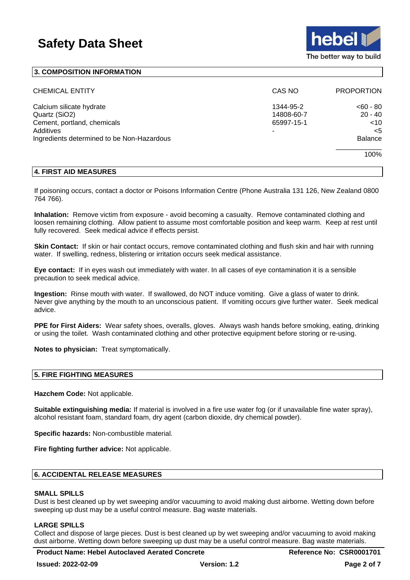

#### **3. COMPOSITION INFORMATION**

| <b>CHEMICAL ENTITY</b>                                                                                                              | CAS NO                                     | <b>PROPORTION</b>                                                     |
|-------------------------------------------------------------------------------------------------------------------------------------|--------------------------------------------|-----------------------------------------------------------------------|
| Calcium silicate hydrate<br>Quartz (SiO2)<br>Cement, portland, chemicals<br>Additives<br>Ingredients determined to be Non-Hazardous | 1344-95-2<br>14808-60-7<br>65997-15-1<br>۰ | $< 60 - 80$<br>$20 - 40$<br>$<$ 10<br>$<$ 5<br><b>Balance</b><br>100% |

#### **4. FIRST AID MEASURES**

If poisoning occurs, contact a doctor or Poisons Information Centre (Phone Australia 131 126, New Zealand 0800 764 766).

**Inhalation:** Remove victim from exposure - avoid becoming a casualty. Remove contaminated clothing and loosen remaining clothing. Allow patient to assume most comfortable position and keep warm. Keep at rest until fully recovered. Seek medical advice if effects persist.

**Skin Contact:** If skin or hair contact occurs, remove contaminated clothing and flush skin and hair with running water. If swelling, redness, blistering or irritation occurs seek medical assistance.

**Eye contact:** If in eyes wash out immediately with water. In all cases of eye contamination it is a sensible precaution to seek medical advice.

**Ingestion:** Rinse mouth with water. If swallowed, do NOT induce vomiting. Give a glass of water to drink. Never give anything by the mouth to an unconscious patient. If vomiting occurs give further water. Seek medical advice.

**PPE for First Aiders:** Wear safety shoes, overalls, gloves. Always wash hands before smoking, eating, drinking or using the toilet. Wash contaminated clothing and other protective equipment before storing or re-using.

**Notes to physician:** Treat symptomatically.

#### **5. FIRE FIGHTING MEASURES**

**Hazchem Code:** Not applicable.

**Suitable extinguishing media:** If material is involved in a fire use water fog (or if unavailable fine water spray), alcohol resistant foam, standard foam, dry agent (carbon dioxide, dry chemical powder).

**Specific hazards:** Non-combustible material.

**Fire fighting further advice:** Not applicable.

## **6. ACCIDENTAL RELEASE MEASURES**

#### **SMALL SPILLS**

Dust is best cleaned up by wet sweeping and/or vacuuming to avoid making dust airborne. Wetting down before sweeping up dust may be a useful control measure. Bag waste materials.

#### **LARGE SPILLS**

Collect and dispose of large pieces. Dust is best cleaned up by wet sweeping and/or vacuuming to avoid making dust airborne. Wetting down before sweeping up dust may be a useful control measure. Bag waste materials.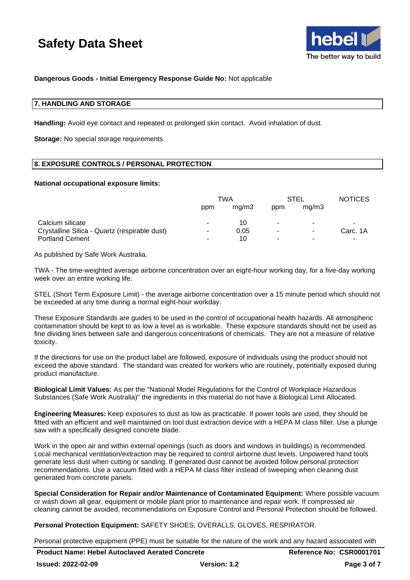

#### **Dangerous Goods - Initial Emergency Response Guide No:** Not applicable

#### **7. HANDLING AND STORAGE**

**Handling:** Avoid eye contact and repeated or prolonged skin contact. Avoid inhalation of dust.

**Storage:** No special storage requirements.

#### **8. EXPOSURE CONTROLS / PERSONAL PROTECTION**

#### **National occupational exposure limits:**

|                                               | TWA |       | STEL                     |                          | <b>NOTICES</b> |
|-----------------------------------------------|-----|-------|--------------------------|--------------------------|----------------|
|                                               | ppm | ma/m3 | ppm                      | ma/m3                    |                |
| Calcium silicate                              |     | 10    | ۰                        | ۰                        | ٠              |
| Crystalline Silica - Quartz (respirable dust) | -   | 0.05  | $\overline{\phantom{a}}$ | $\overline{\phantom{a}}$ | Carc. 1A       |
| <b>Portland Cement</b>                        |     | 10    | ۰                        | ۰                        | ۰              |

As published by Safe Work Australia.

TWA - The time-weighted average airborne concentration over an eight-hour working day, for a five-day working week over an entire working life.

STEL (Short Term Exposure Limit) - the average airborne concentration over a 15 minute period which should not be exceeded at any time during a normal eight-hour workday.

These Exposure Standards are guides to be used in the control of occupational health hazards. All atmospheric contamination should be kept to as low a level as is workable. These exposure standards should not be used as fine dividing lines between safe and dangerous concentrations of chemicals. They are not a measure of relative toxicity.

If the directions for use on the product label are followed, exposure of individuals using the product should not exceed the above standard. The standard was created for workers who are routinely, potentially exposed during product manufacture.

**Biological Limit Values:** As per the "National Model Regulations for the Control of Workplace Hazardous Substances (Safe Work Australia)" the ingredients in this material do not have a Biological Limit Allocated.

**Engineering Measures:** Keep exposures to dust as low as practicable. If power tools are used, they should be fitted with an efficient and well maintained on tool dust extraction device with a HEPA M class filter. Use a plunge saw with a specifically designed concrete blade.

Work in the open air and within external openings (such as doors and windows in buildings) is recommended. Local mechanical ventilation/extraction may be required to control airborne dust levels. Unpowered hand tools generate less dust when cutting or sanding. If generated dust cannot be avoided follow personal protection recommendations. Use a vacuum fitted with a HEPA M class filter instead of sweeping when cleaning dust generated from concrete panels.

**Special Consideration for Repair and/or Maintenance of Contaminated Equipment:** Where possible vacuum or wash down all gear, equipment or mobile plant prior to maintenance and repair work. If compressed air cleaning cannot be avoided, recommendations on Exposure Control and Personal Protection should be followed.

**Personal Protection Equipment:** SAFETY SHOES, OVERALLS, GLOVES, RESPIRATOR.

Personal protective equipment (PPE) must be suitable for the nature of the work and any hazard associated with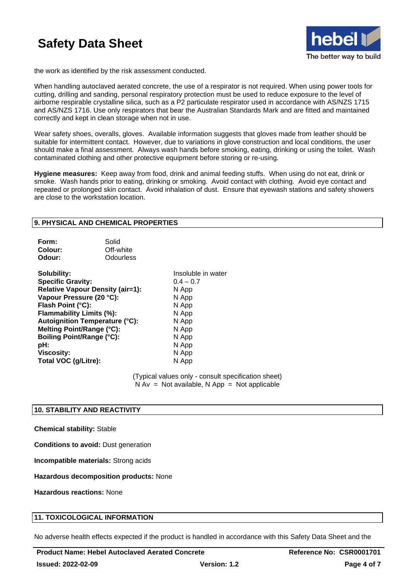

the work as identified by the risk assessment conducted.

When handling autoclaved aerated concrete, the use of a respirator is not required. When using power tools for cutting, drilling and sanding, personal respiratory protection must be used to reduce exposure to the level of airborne respirable crystalline silica, such as a P2 particulate respirator used in accordance with AS/NZS 1715 and AS/NZS 1716. Use only respirators that bear the Australian Standards Mark and are fitted and maintained correctly and kept in clean storage when not in use.

Wear safety shoes, overalls, gloves. Available information suggests that gloves made from leather should be suitable for intermittent contact. However, due to variations in glove construction and local conditions, the user should make a final assessment. Always wash hands before smoking, eating, drinking or using the toilet. Wash contaminated clothing and other protective equipment before storing or re-using.

**Hygiene measures:** Keep away from food, drink and animal feeding stuffs. When using do not eat, drink or smoke. Wash hands prior to eating, drinking or smoking. Avoid contact with clothing. Avoid eye contact and repeated or prolonged skin contact. Avoid inhalation of dust. Ensure that eyewash stations and safety showers are close to the workstation location.

## **9. PHYSICAL AND CHEMICAL PROPERTIES**

| Form:   | Solid     |
|---------|-----------|
| Colour: | Off-white |
| Odour:  | Odourless |

**Solubility:** Insoluble in water **Specific Gravity:** 0.4 – 0.7 **Relative Vapour Density (air=1):** N App **Vapour Pressure (20 °C):** N App **Flash Point (°C):** N App **Flammability Limits (%):** N App **Autoignition Temperature (°C):** N App **Melting Point/Range (°C):** N App **Boiling Point/Range (°C):** N App **pH:** N App **Viscosity:** N App Total VOC (g/Litre): N App

(Typical values only - consult specification sheet)  $N Av = Not available, N App = Not applicable$ 

#### **10. STABILITY AND REACTIVITY**

#### **Chemical stability:** Stable

**Conditions to avoid:** Dust generation

**Incompatible materials:** Strong acids

**Hazardous decomposition products:** None

**Hazardous reactions:** None

## **11. TOXICOLOGICAL INFORMATION**

No adverse health effects expected if the product is handled in accordance with this Safety Data Sheet and the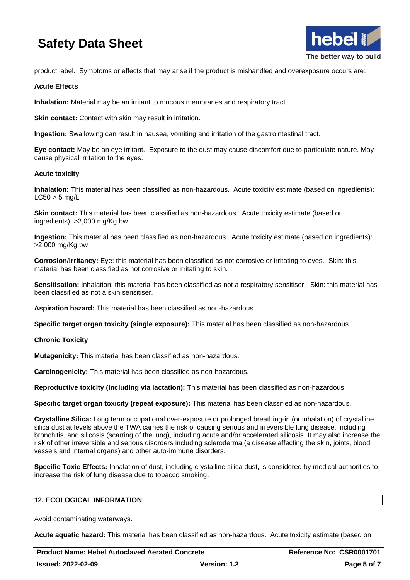

product label. Symptoms or effects that may arise if the product is mishandled and overexposure occurs are:

### **Acute Effects**

**Inhalation:** Material may be an irritant to mucous membranes and respiratory tract.

**Skin contact:** Contact with skin may result in irritation.

**Ingestion:** Swallowing can result in nausea, vomiting and irritation of the gastrointestinal tract.

**Eye contact:** May be an eye irritant. Exposure to the dust may cause discomfort due to particulate nature. May cause physical irritation to the eyes.

#### **Acute toxicity**

**Inhalation:** This material has been classified as non-hazardous. Acute toxicity estimate (based on ingredients):  $LC50 > 5$  mg/L

**Skin contact:** This material has been classified as non-hazardous. Acute toxicity estimate (based on ingredients): >2,000 mg/Kg bw

**Ingestion:** This material has been classified as non-hazardous. Acute toxicity estimate (based on ingredients): >2,000 mg/Kg bw

**Corrosion/Irritancy:** Eye: this material has been classified as not corrosive or irritating to eyes. Skin: this material has been classified as not corrosive or irritating to skin.

**Sensitisation:** Inhalation: this material has been classified as not a respiratory sensitiser. Skin: this material has been classified as not a skin sensitiser.

**Aspiration hazard:** This material has been classified as non-hazardous.

**Specific target organ toxicity (single exposure):** This material has been classified as non-hazardous.

## **Chronic Toxicity**

**Mutagenicity:** This material has been classified as non-hazardous.

**Carcinogenicity:** This material has been classified as non-hazardous.

**Reproductive toxicity (including via lactation):** This material has been classified as non-hazardous.

**Specific target organ toxicity (repeat exposure):** This material has been classified as non-hazardous.

**Crystalline Silica:** Long term occupational over-exposure or prolonged breathing-in (or inhalation) of crystalline silica dust at levels above the TWA carries the risk of causing serious and irreversible lung disease, including bronchitis, and silicosis (scarring of the lung), including acute and/or accelerated silicosis. It may also increase the risk of other irreversible and serious disorders including scleroderma (a disease affecting the skin, joints, blood vessels and internal organs) and other auto-immune disorders.

**Specific Toxic Effects:** Inhalation of dust, including crystalline silica dust, is considered by medical authorities to increase the risk of lung disease due to tobacco smoking.

## **12. ECOLOGICAL INFORMATION**

Avoid contaminating waterways.

**Acute aquatic hazard:** This material has been classified as non-hazardous. Acute toxicity estimate (based on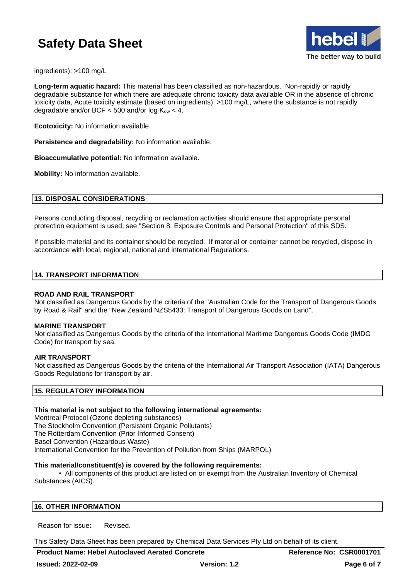

ingredients): >100 mg/L

**Long-term aquatic hazard:** This material has been classified as non-hazardous. Non-rapidly or rapidly degradable substance for which there are adequate chronic toxicity data available OR in the absence of chronic toxicity data, Acute toxicity estimate (based on ingredients): >100 mg/L, where the substance is not rapidly degradable and/or BCF < 500 and/or  $log K<sub>ow</sub>$  < 4.

**Ecotoxicity:** No information available.

**Persistence and degradability:** No information available.

**Bioaccumulative potential:** No information available.

**Mobility:** No information available.

#### **13. DISPOSAL CONSIDERATIONS**

Persons conducting disposal, recycling or reclamation activities should ensure that appropriate personal protection equipment is used, see "Section 8. Exposure Controls and Personal Protection" of this SDS.

If possible material and its container should be recycled. If material or container cannot be recycled, dispose in accordance with local, regional, national and international Regulations.

### **14. TRANSPORT INFORMATION**

#### **ROAD AND RAIL TRANSPORT**

Not classified as Dangerous Goods by the criteria of the "Australian Code for the Transport of Dangerous Goods by Road & Rail" and the "New Zealand NZS5433: Transport of Dangerous Goods on Land".

#### **MARINE TRANSPORT**

Not classified as Dangerous Goods by the criteria of the International Maritime Dangerous Goods Code (IMDG Code) for transport by sea.

#### **AIR TRANSPORT**

Not classified as Dangerous Goods by the criteria of the International Air Transport Association (IATA) Dangerous Goods Regulations for transport by air.

#### **15. REGULATORY INFORMATION**

#### **This material is not subject to the following international agreements:**

Montreal Protocol (Ozone depleting substances) The Stockholm Convention (Persistent Organic Pollutants) The Rotterdam Convention (Prior Informed Consent) Basel Convention (Hazardous Waste) International Convention for the Prevention of Pollution from Ships (MARPOL)

#### **This material/constituent(s) is covered by the following requirements:**

• All components of this product are listed on or exempt from the Australian Inventory of Chemical Substances (AICS).

#### **16. OTHER INFORMATION**

Reason for issue: Revised.

This Safety Data Sheet has been prepared by Chemical Data Services Pty Ltd on behalf of its client.

**Product Name: Hebel Autoclaved Aerated Concrete Reference No: CSR0001701**